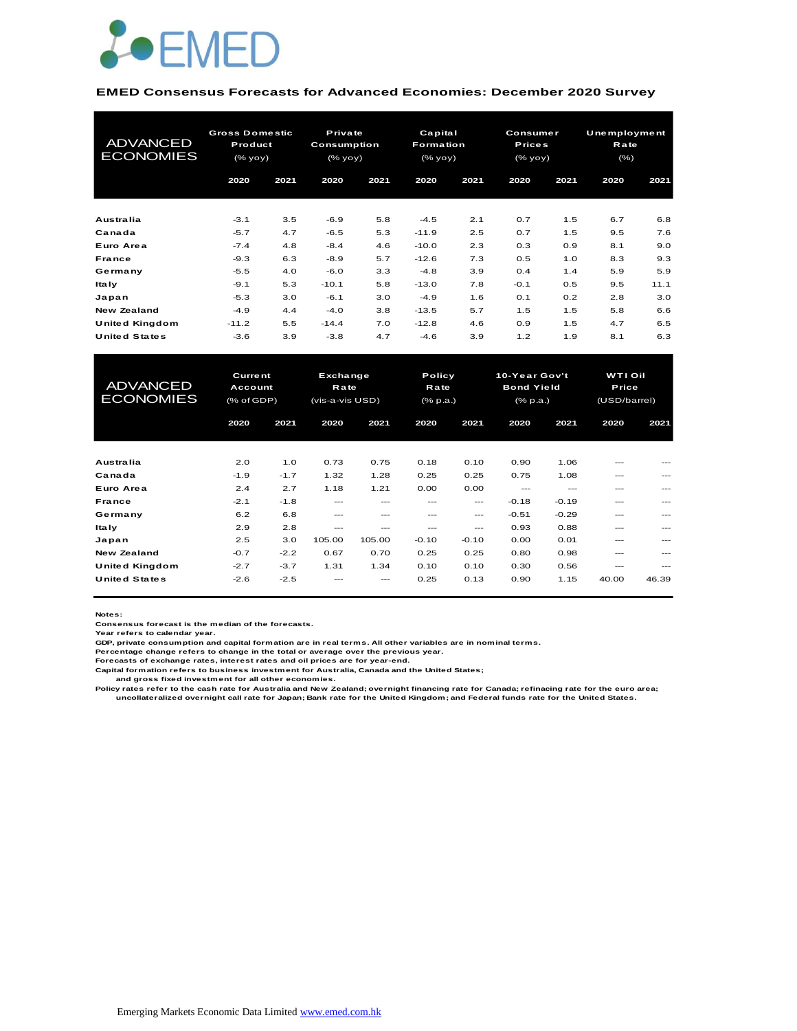

#### **EMED Consensus Forecasts for Advanced Economies: December 2020 Survey**

| <b>ADVANCED</b><br><b>ECONOMIES</b> | <b>Gross Domestic</b><br>Product<br>(% yoy) |      | Private<br><b>Consumption</b><br>(% yoy) |      | Capital<br><b>Formation</b><br>(% |      | <b>Consumer</b><br><b>Prices</b><br>(% yoy) |      | Unemployment<br>Rate<br>$(\% )$ |      |
|-------------------------------------|---------------------------------------------|------|------------------------------------------|------|-----------------------------------|------|---------------------------------------------|------|---------------------------------|------|
|                                     | 2020                                        | 2021 | 2020                                     | 2021 | 2020                              | 2021 | 2020                                        | 2021 | 2020                            | 2021 |
| Australia                           | $-3.1$                                      | 3.5  | $-6.9$                                   | 5.8  | $-4.5$                            | 2.1  | 0.7                                         | 1.5  | 6.7                             | 6.8  |
| Canada                              | $-5.7$                                      | 4.7  | $-6.5$                                   | 5.3  | $-11.9$                           | 2.5  | 0.7                                         | 1.5  | 9.5                             | 7.6  |
| Euro Area                           | $-7.4$                                      | 4.8  | $-8.4$                                   | 4.6  | $-10.0$                           | 2.3  | 0.3                                         | 0.9  | 8.1                             | 9.0  |
| France                              | $-9.3$                                      | 6.3  | $-8.9$                                   | 5.7  | $-12.6$                           | 7.3  | 0.5                                         | 1.0  | 8.3                             | 9.3  |
| Germany                             | $-5.5$                                      | 4.0  | $-6.0$                                   | 3.3  | $-4.8$                            | 3.9  | 0.4                                         | 1.4  | 5.9                             | 5.9  |
| <b>Italy</b>                        | $-9.1$                                      | 5.3  | $-10.1$                                  | 5.8  | $-13.0$                           | 7.8  | $-0.1$                                      | 0.5  | 9.5                             | 11.1 |
| Japan                               | $-5.3$                                      | 3.0  | $-6.1$                                   | 3.0  | $-4.9$                            | 1.6  | 0.1                                         | 0.2  | 2.8                             | 3.0  |
| <b>New Zealand</b>                  | $-4.9$                                      | 4.4  | $-4.0$                                   | 3.8  | $-13.5$                           | 5.7  | 1.5                                         | 1.5  | 5.8                             | 6.6  |
| United Kingdom                      | $-11.2$                                     | 5.5  | $-14.4$                                  | 7.0  | $-12.8$                           | 4.6  | 0.9                                         | 1.5  | 4.7                             | 6.5  |
| <b>United States</b>                | $-3.6$                                      | 3.9  | $-3.8$                                   | 4.7  | $-4.6$                            | 3.9  | 1.2                                         | 1.9  | 8.1                             | 6.3  |

| United Kingdom       | $-11.2$        | 5.5    | $-14.4$         | 7.0    | $-12.8$  | 4.6     | 0.9               | 1.5           | 4.7            | 6.5     |
|----------------------|----------------|--------|-----------------|--------|----------|---------|-------------------|---------------|----------------|---------|
| <b>United States</b> | $-3.6$         | 3.9    | $-3.8$          | 4.7    | $-4.6$   | 3.9     | 1.2               | 1.9           | 8.1            | 6.3     |
|                      |                |        |                 |        |          |         |                   |               |                |         |
| <b>ADVANCED</b>      | <b>Current</b> |        | Exchange        |        |          | Policy  |                   | 10-Year Gov't | <b>WTI Oil</b> |         |
| <b>ECONOMIES</b>     | Account        |        | <b>Rate</b>     |        | Rate     |         | <b>Bond Yield</b> |               | <b>Price</b>   |         |
|                      | (% of GDP)     |        | (vis-a-vis USD) |        | (% p.a.) |         | (% p.a.)          |               | (USD/barrel)   |         |
|                      | 2020           | 2021   | 2020            | 2021   | 2020     | 2021    | 2020              | 2021          | 2020           | 2021    |
|                      |                |        |                 |        |          |         |                   |               |                |         |
|                      |                |        |                 |        |          |         |                   |               |                |         |
| Australia            | 2.0            | 1.0    | 0.73            | 0.75   | 0.18     | 0.10    | 0.90              | 1.06          |                |         |
| Canada               | $-1.9$         | $-1.7$ | 1.32            | 1.28   | 0.25     | 0.25    | 0.75              | 1.08          | ---            |         |
| Euro Area            | 2.4            | 2.7    | 1.18            | 1.21   | 0.00     | 0.00    | $---$             | $---$         | ---            | ---     |
| <b>France</b>        | $-2.1$         | $-1.8$ | $---$           | ---    | ---      | ---     | $-0.18$           | $-0.19$       | ---            |         |
| Germany              | 6.2            | 6.8    | $- - -$         | ---    | ---      | $---$   | $-0.51$           | $-0.29$       | ---            | $---$   |
| <b>Italy</b>         | 2.9            | 2.8    | ---             | ---    | ---      | $---$   | 0.93              | 0.88          | ---            |         |
| Japan                | 2.5            | 3.0    | 105.00          | 105.00 | $-0.10$  | $-0.10$ | 0.00              | 0.01          | ---            | $---$   |
| <b>New Zealand</b>   | $-0.7$         | $-2.2$ | 0.67            | 0.70   | 0.25     | 0.25    | 0.80              | 0.98          | ---            |         |
| United Kingdom       | $-2.7$         | $-3.7$ | 1.31            | 1.34   | 0.10     | 0.10    | 0.30              | 0.56          | $---$          | $- - -$ |
| <b>United States</b> | $-2.6$         | $-2.5$ |                 |        | 0.25     | 0.13    | 0.90              | 1.15          | 40.00          | 46.39   |
|                      |                |        |                 |        |          |         |                   |               |                |         |

**Notes:** 

**Consensus forecast is the median of the forecasts. Year refers to calendar year.**

**GDP, private consumption and capital formation are in real terms. All other variables are in nominal terms.**

**Percentage change refers to change in the total or average over the previous year. Forecasts of exchange rates, interest rates and oil prices are for year-end.**

**Capital formation refers to business investment for Australia, Canada and the United States;**

 **and gross fixed investment for all other economies.**

Policy rates refer to the cash rate for Australia and New Zealand; overnight financing rate for Canada; refinacing rate for the euro area;<br>uncollateralized overnight call rate for Japan; Bank rate for the United Kingdom; a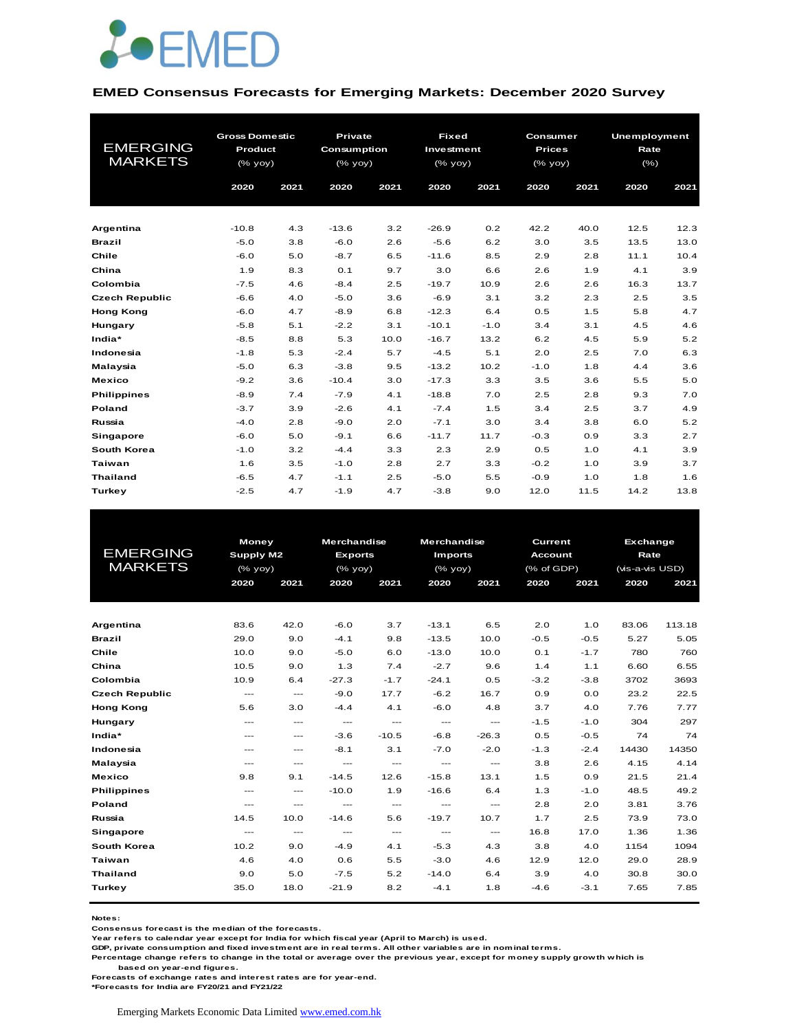

#### **EMED Consensus Forecasts for Emerging Markets: December 2020 Survey**

| <b>EMERGING</b><br><b>MARKETS</b> | <b>Gross Domestic</b><br>Product<br>(% yoy) |      | Private<br>Consumption<br>$(%$ (% yoy) |      | <b>Fixed</b><br>Investment<br>(% yoy) |        | Consumer<br><b>Prices</b><br>$(%$ (% yoy) |      | <b>Unemployment</b><br>Rate<br>$(\% )$ |      |
|-----------------------------------|---------------------------------------------|------|----------------------------------------|------|---------------------------------------|--------|-------------------------------------------|------|----------------------------------------|------|
|                                   | 2020                                        | 2021 | 2020                                   | 2021 | 2020                                  | 2021   | 2020                                      | 2021 | 2020                                   | 2021 |
|                                   |                                             |      |                                        |      |                                       |        |                                           |      |                                        |      |
| Argentina                         | $-10.8$                                     | 4.3  | $-13.6$                                | 3.2  | $-26.9$                               | 0.2    | 42.2                                      | 40.0 | 12.5                                   | 12.3 |
| <b>Brazil</b>                     | $-5.0$                                      | 3.8  | $-6.0$                                 | 2.6  | $-5.6$                                | 6.2    | 3.0                                       | 3.5  | 13.5                                   | 13.0 |
| Chile                             | $-6.0$                                      | 5.0  | $-8.7$                                 | 6.5  | $-11.6$                               | 8.5    | 2.9                                       | 2.8  | 11.1                                   | 10.4 |
| China                             | 1.9                                         | 8.3  | O.1                                    | 9.7  | 3.0                                   | 6.6    | 2.6                                       | 1.9  | 4.1                                    | 3.9  |
| Colombia                          | $-7.5$                                      | 4.6  | $-8.4$                                 | 2.5  | $-19.7$                               | 10.9   | 2.6                                       | 2.6  | 16.3                                   | 13.7 |
| <b>Czech Republic</b>             | $-6.6$                                      | 4.0  | $-5.0$                                 | 3.6  | $-6.9$                                | 3.1    | 3.2                                       | 2.3  | 2.5                                    | 3.5  |
| <b>Hong Kong</b>                  | $-6.0$                                      | 4.7  | $-8.9$                                 | 6.8  | $-12.3$                               | 6.4    | 0.5                                       | 1.5  | 5.8                                    | 4.7  |
| Hungary                           | $-5.8$                                      | 5.1  | $-2.2$                                 | 3.1  | $-10.1$                               | $-1.0$ | 3.4                                       | 3.1  | 4.5                                    | 4.6  |
| India*                            | $-8.5$                                      | 8.8  | 5.3                                    | 10.0 | $-16.7$                               | 13.2   | 6.2                                       | 4.5  | 5.9                                    | 5.2  |
| Indonesia                         | $-1.8$                                      | 5.3  | $-2.4$                                 | 5.7  | $-4.5$                                | 5.1    | 2.0                                       | 2.5  | 7.0                                    | 6.3  |
| Malaysia                          | $-5.0$                                      | 6.3  | $-3.8$                                 | 9.5  | $-13.2$                               | 10.2   | $-1.0$                                    | 1.8  | 4.4                                    | 3.6  |
| <b>Mexico</b>                     | $-9.2$                                      | 3.6  | $-10.4$                                | 3.0  | $-17.3$                               | 3.3    | 3.5                                       | 3.6  | 5.5                                    | 5.0  |
| <b>Philippines</b>                | $-8.9$                                      | 7.4  | $-7.9$                                 | 4.1  | $-18.8$                               | 7.0    | 2.5                                       | 2.8  | 9.3                                    | 7.0  |
| Poland                            | $-3.7$                                      | 3.9  | $-2.6$                                 | 4.1  | $-7.4$                                | 1.5    | 3.4                                       | 2.5  | 3.7                                    | 4.9  |
| Russia                            | $-4.0$                                      | 2.8  | $-9.0$                                 | 2.0  | $-7.1$                                | 3.0    | 3.4                                       | 3.8  | 6.0                                    | 5.2  |
| <b>Singapore</b>                  | $-6.0$                                      | 5.0  | $-9.1$                                 | 6.6  | $-11.7$                               | 11.7   | $-0.3$                                    | 0.9  | 3.3                                    | 2.7  |
| South Korea                       | $-1.0$                                      | 3.2  | $-4.4$                                 | 3.3  | 2.3                                   | 2.9    | 0.5                                       | 1.0  | 4.1                                    | 3.9  |
| <b>Taiwan</b>                     | 1.6                                         | 3.5  | $-1.0$                                 | 2.8  | 2.7                                   | 3.3    | $-0.2$                                    | 1.0  | 3.9                                    | 3.7  |
| <b>Thailand</b>                   | $-6.5$                                      | 4.7  | $-1.1$                                 | 2.5  | $-5.0$                                | 5.5    | $-0.9$                                    | 1.0  | 1.8                                    | 1.6  |
| Turkey                            | $-2.5$                                      | 4.7  | $-1.9$                                 | 4.7  | $-3.8$                                | 9.0    | 12.0                                      | 11.5 | 14.2                                   | 13.8 |

|                       | <b>Money</b>             |                                          | <b>Merchandise</b>                       |               | Merchandise                         |                                     | Current        |        | <b>Exchange</b> |        |
|-----------------------|--------------------------|------------------------------------------|------------------------------------------|---------------|-------------------------------------|-------------------------------------|----------------|--------|-----------------|--------|
| <b>EMERGING</b>       | Supply M2                |                                          | <b>Exports</b>                           |               | <b>Imports</b>                      |                                     | <b>Account</b> |        | Rate            |        |
| <b>MARKETS</b>        | $(%$ (% yoy)             |                                          | $(%$ (% yoy)                             |               | (% yoy)                             |                                     | (% of GDP)     |        | (vis-a-vis USD) |        |
|                       | 2020                     | 2021                                     | 2020                                     | 2021          | 2020                                | 2021                                | 2020           | 2021   | 2020            | 2021   |
|                       |                          |                                          |                                          |               |                                     |                                     |                |        |                 |        |
|                       |                          |                                          |                                          |               |                                     |                                     |                |        |                 |        |
| Argentina             | 83.6                     | 42.0                                     | $-6.0$                                   | 3.7           | $-13.1$                             | 6.5                                 | 2.0            | 1.0    | 83.06           | 113.18 |
| <b>Brazil</b>         | 29.0                     | 9.0                                      | $-4.1$                                   | 9.8           | $-13.5$                             | 10.0                                | $-0.5$         | $-0.5$ | 5.27            | 5.05   |
| Chile                 | 10.0                     | 9.0                                      | $-5.0$                                   | 6.0           | $-13.0$                             | 10.0                                | O.1            | $-1.7$ | 780             | 760    |
| China                 | 10.5                     | 9.0                                      | 1.3                                      | 7.4           | $-2.7$                              | 9.6                                 | 1.4            | 1.1    | 6.60            | 6.55   |
| Colombia              | 10.9                     | 6.4                                      | $-27.3$                                  | $-1.7$        | $-24.1$                             | 0.5                                 | $-3.2$         | $-3.8$ | 3702            | 3693   |
| <b>Czech Republic</b> | $\qquad \qquad \cdots$   | $\qquad \qquad \cdots$                   | $-9.0$                                   | 17.7          | $-6.2$                              | 16.7                                | 0.9            | 0.0    | 23.2            | 22.5   |
| <b>Hong Kong</b>      | 5.6                      | 3.0                                      | $-4.4$                                   | 4.1           | $-6.0$                              | 4.8                                 | 3.7            | 4.0    | 7.76            | 7.77   |
| Hungary               | $---$                    | $---$                                    | $\hspace{0.05cm} \ldots$                 | $\cdots$      | $\hspace{0.05cm} \ldots$            | $\frac{1}{2}$                       | $-1.5$         | $-1.0$ | 304             | 297    |
| India*                | $---$                    | $\qquad \qquad \cdots$                   | $-3.6$                                   | $-10.5$       | $-6.8$                              | $-26.3$                             | 0.5            | $-0.5$ | 74              | 74     |
| Indonesia             | $---$                    | $---$                                    | $-8.1$                                   | 3.1           | $-7.0$                              | $-2.0$                              | $-1.3$         | $-2.4$ | 14430           | 14350  |
| Malaysia              | $---$                    | $---$                                    | $\frac{1}{2}$                            | $\frac{1}{2}$ | $\sim$ $\sim$                       | $\frac{1}{2}$                       | 3.8            | 2.6    | 4.15            | 4.14   |
| <b>Mexico</b>         | 9.8                      | 9.1                                      | $-14.5$                                  | 12.6          | $-15.8$                             | 13.1                                | 1.5            | 0.9    | 21.5            | 21.4   |
| <b>Philippines</b>    | $\qquad \qquad -$        | $\hspace{0.05cm} \ldots$                 | $-10.0$                                  | 1.9           | $-16.6$                             | 6.4                                 | 1.3            | $-1.0$ | 48.5            | 49.2   |
| Poland                | $\hspace{0.05cm} \ldots$ | $\hspace{0.05cm} \ldots \hspace{0.05cm}$ | $\cdots$                                 | $\cdots$      | $\hspace{0.05cm}---\hspace{0.05cm}$ | $\hspace{0.05cm}---\hspace{0.05cm}$ | 2.8            | 2.0    | 3.81            | 3.76   |
| Russia                | 14.5                     | 10.0                                     | $-14.6$                                  | 5.6           | $-19.7$                             | 10.7                                | 1.7            | 2.5    | 73.9            | 73.0   |
| <b>Singapore</b>      | $\hspace{0.05cm} \ldots$ | $\hspace{0.05cm} \ldots$                 | $\hspace{0.05cm} \ldots \hspace{0.05cm}$ | $\cdots$      | $\hspace{0.05cm} \ldots$            | $\hspace{0.05cm}---\hspace{0.05cm}$ | 16.8           | 17.0   | 1.36            | 1.36   |
| South Korea           | 10.2                     | 9.0                                      | $-4.9$                                   | 4.1           | $-5.3$                              | 4.3                                 | 3.8            | 4.0    | 1154            | 1094   |
| Taiwan                | 4.6                      | 4.0                                      | 0.6                                      | 5.5           | $-3.0$                              | 4.6                                 | 12.9           | 12.0   | 29.0            | 28.9   |
| <b>Thailand</b>       | 9.0                      | 5.0                                      | $-7.5$                                   | 5.2           | $-14.0$                             | 6.4                                 | 3.9            | 4.0    | 30.8            | 30.0   |
| Turkey                | 35.0                     | 18.0                                     | $-21.9$                                  | 8.2           | $-4.1$                              | 1.8                                 | $-4.6$         | $-3.1$ | 7.65            | 7.85   |
|                       |                          |                                          |                                          |               |                                     |                                     |                |        |                 |        |

**Notes:** 

**Consensus forecast is the median of the forecasts.**

**Year refers to calendar year except for India for which fiscal year (April to March) is used.**

**GDP, private consumption and fixed investment are in real terms. All other variables are in nominal terms.**

**Percentage change refers to change in the total or average over the previous year, except for money supply growth which is** 

 **based on year-end figures.**

**Forecasts of exchange rates and interest rates are for year-end.**

**\*Forecasts for India are FY20/21 and FY21/22**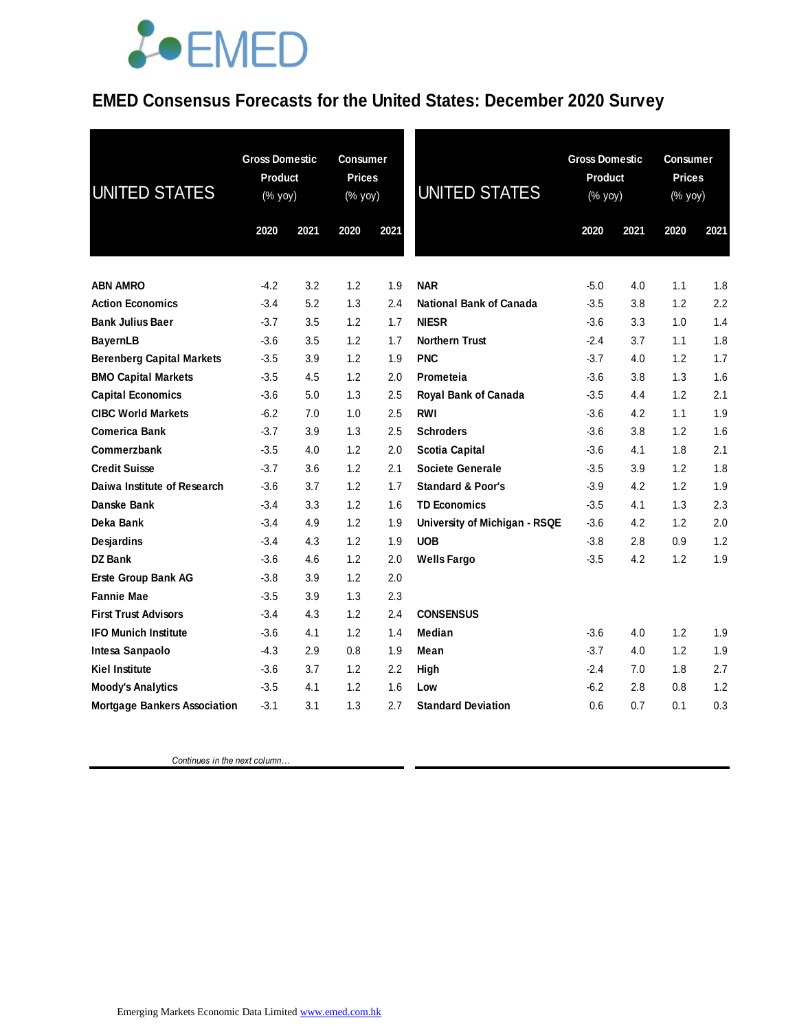## **JOEMED**

### **EMED Consensus Forecasts for the United States: December 2020 Survey**

| <b>UNITED STATES</b>                | <b>Gross Domestic</b><br>Product<br>(% yoy) |      | <b>Consumer</b><br><b>Prices</b><br>(% yoy) |      | <b>UNITED STATES</b>           | <b>Gross Domestic</b><br>Product<br>(% yoy) |      | <b>Consumer</b><br><b>Prices</b><br>(% yoy) |      |
|-------------------------------------|---------------------------------------------|------|---------------------------------------------|------|--------------------------------|---------------------------------------------|------|---------------------------------------------|------|
|                                     | 2020                                        | 2021 | 2020                                        | 2021 |                                | 2020                                        | 2021 | 2020                                        | 2021 |
| <b>ABN AMRO</b>                     | $-4.2$                                      | 3.2  | 1.2                                         | 1.9  | <b>NAR</b>                     | $-5.0$                                      | 4.0  | 1.1                                         | 1.8  |
| <b>Action Economics</b>             | $-3.4$                                      | 5.2  | 1.3                                         | 2.4  | <b>National Bank of Canada</b> | $-3.5$                                      | 3.8  | 1.2                                         | 2.2  |
| <b>Bank Julius Baer</b>             | $-3.7$                                      | 3.5  | 1.2                                         | 1.7  | <b>NIESR</b>                   | $-3.6$                                      | 3.3  | 1.0                                         | 1.4  |
| <b>BayernLB</b>                     | $-3.6$                                      | 3.5  | 1.2                                         | 1.7  | <b>Northern Trust</b>          | $-2.4$                                      | 3.7  | 1.1                                         | 1.8  |
| <b>Berenberg Capital Markets</b>    | $-3.5$                                      | 3.9  | 1.2                                         | 1.9  | <b>PNC</b>                     | $-3.7$                                      | 4.0  | 1.2                                         | 1.7  |
| <b>BMO Capital Markets</b>          | $-3.5$                                      | 4.5  | 1.2                                         | 2.0  | Prometeia                      | $-3.6$                                      | 3.8  | 1.3                                         | 1.6  |
| <b>Capital Economics</b>            | $-3.6$                                      | 5.0  | 1.3                                         | 2.5  | Royal Bank of Canada           | $-3.5$                                      | 4.4  | 1.2                                         | 2.1  |
| <b>CIBC World Markets</b>           | $-6.2$                                      | 7.0  | 1.0                                         | 2.5  | RWI                            | $-3.6$                                      | 4.2  | 1.1                                         | 1.9  |
| <b>Comerica Bank</b>                | $-3.7$                                      | 3.9  | 1.3                                         | 2.5  | <b>Schroders</b>               | $-3.6$                                      | 3.8  | 1.2                                         | 1.6  |
| Commerzbank                         | $-3.5$                                      | 4.0  | 1.2                                         | 2.0  | <b>Scotia Capital</b>          | $-3.6$                                      | 4.1  | 1.8                                         | 2.1  |
| <b>Credit Suisse</b>                | $-3.7$                                      | 3.6  | 1.2                                         | 2.1  | <b>Societe Generale</b>        | $-3.5$                                      | 3.9  | 1.2                                         | 1.8  |
| Daiwa Institute of Research         | $-3.6$                                      | 3.7  | 1.2                                         | 1.7  | <b>Standard &amp; Poor's</b>   | $-3.9$                                      | 4.2  | 1.2                                         | 1.9  |
| Danske Bank                         | $-3.4$                                      | 3.3  | 1.2                                         | 1.6  | <b>TD Economics</b>            | $-3.5$                                      | 4.1  | 1.3                                         | 2.3  |
| Deka Bank                           | $-3.4$                                      | 4.9  | 1.2                                         | 1.9  | University of Michigan - RSQE  | $-3.6$                                      | 4.2  | 1.2                                         | 2.0  |
| Desjardins                          | $-3.4$                                      | 4.3  | 1.2                                         | 1.9  | <b>UOB</b>                     | $-3.8$                                      | 2.8  | 0.9                                         | 1.2  |
| <b>DZ Bank</b>                      | $-3.6$                                      | 4.6  | 1.2                                         | 2.0  | <b>Wells Fargo</b>             | $-3.5$                                      | 4.2  | 1.2                                         | 1.9  |
| <b>Erste Group Bank AG</b>          | $-3.8$                                      | 3.9  | 1.2                                         | 2.0  |                                |                                             |      |                                             |      |
| <b>Fannie Mae</b>                   | $-3.5$                                      | 3.9  | 1.3                                         | 2.3  |                                |                                             |      |                                             |      |
| <b>First Trust Advisors</b>         | $-3.4$                                      | 4.3  | 1.2                                         | 2.4  | <b>CONSENSUS</b>               |                                             |      |                                             |      |
| <b>IFO Munich Institute</b>         | $-3.6$                                      | 4.1  | 1.2                                         | 1.4  | <b>Median</b>                  | $-3.6$                                      | 4.0  | 1.2                                         | 1.9  |
| Intesa Sanpaolo                     | $-4.3$                                      | 2.9  | 0.8                                         | 1.9  | Mean                           | $-3.7$                                      | 4.0  | 1.2                                         | 1.9  |
| <b>Kiel Institute</b>               | $-3.6$                                      | 3.7  | 1.2                                         | 2.2  | High                           | $-2.4$                                      | 7.0  | 1.8                                         | 2.7  |
| <b>Moody's Analytics</b>            | $-3.5$                                      | 4.1  | 1.2                                         | 1.6  | Low                            | $-6.2$                                      | 2.8  | 0.8                                         | 1.2  |
| <b>Mortgage Bankers Association</b> | $-3.1$                                      | 3.1  | 1.3                                         | 2.7  | <b>Standard Deviation</b>      | 0.6                                         | 0.7  | 0.1                                         | 0.3  |

 *Continues in the next column…*

Emerging Markets Economic Data Limited www.emed.com.hk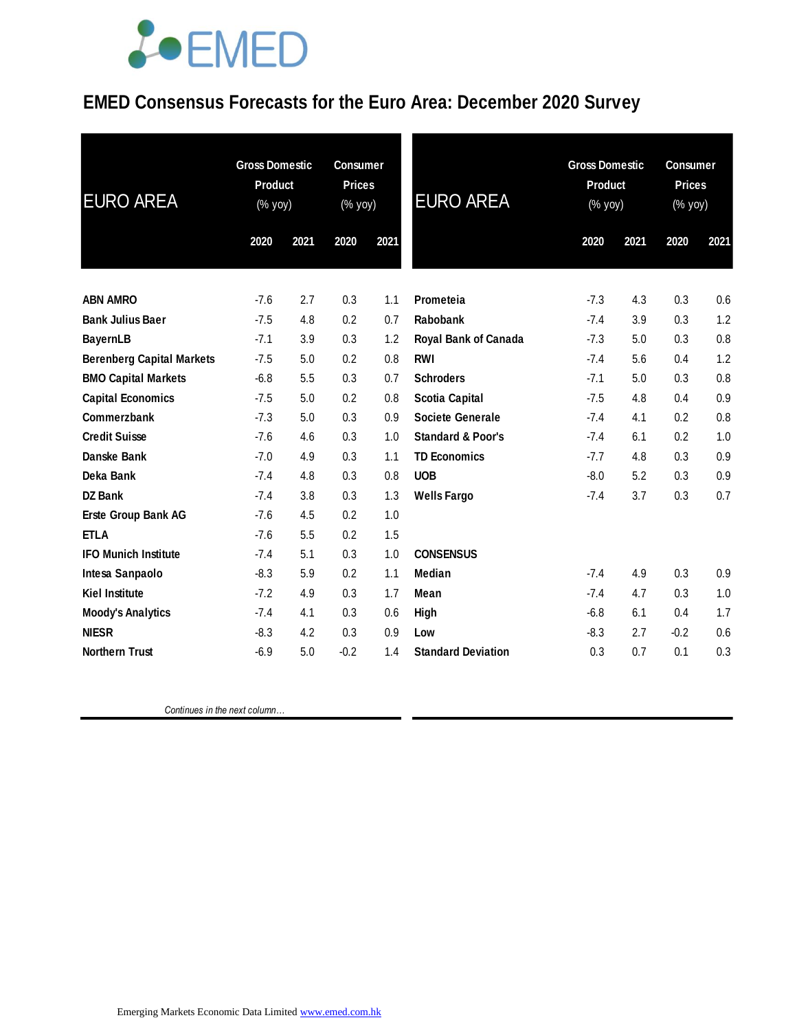# **JOEMED**

### **EMED Consensus Forecasts for the Euro Area: December 2020 Survey**

| <b>EURO AREA</b>                 | <b>Gross Domestic</b><br><b>Product</b><br>(% yoy) |      | <b>Consumer</b><br><b>Prices</b><br>(% yoy) |      | <b>EURO AREA</b>             | <b>Gross Domestic</b><br><b>Product</b><br>(% yoy) |      | <b>Consumer</b><br><b>Prices</b><br>(% yoy) |      |
|----------------------------------|----------------------------------------------------|------|---------------------------------------------|------|------------------------------|----------------------------------------------------|------|---------------------------------------------|------|
|                                  | 2020                                               | 2021 | 2020                                        | 2021 |                              | 2020                                               | 2021 | 2020                                        | 2021 |
|                                  |                                                    |      |                                             |      |                              |                                                    |      |                                             |      |
| <b>ABN AMRO</b>                  | $-7.6$                                             | 2.7  | 0.3                                         | 1.1  | Prometeia                    | $-7.3$                                             | 4.3  | 0.3                                         | 0.6  |
| <b>Bank Julius Baer</b>          | $-7.5$                                             | 4.8  | 0.2                                         | 0.7  | Rabobank                     | $-7.4$                                             | 3.9  | 0.3                                         | 1.2  |
| <b>BayernLB</b>                  | $-7.1$                                             | 3.9  | 0.3                                         | 1.2  | <b>Royal Bank of Canada</b>  | $-7.3$                                             | 5.0  | 0.3                                         | 0.8  |
| <b>Berenberg Capital Markets</b> | $-7.5$                                             | 5.0  | 0.2                                         | 0.8  | <b>RWI</b>                   | $-7.4$                                             | 5.6  | 0.4                                         | 1.2  |
| <b>BMO Capital Markets</b>       | $-6.8$                                             | 5.5  | 0.3                                         | 0.7  | <b>Schroders</b>             | $-7.1$                                             | 5.0  | 0.3                                         | 0.8  |
| <b>Capital Economics</b>         | $-7.5$                                             | 5.0  | 0.2                                         | 0.8  | <b>Scotia Capital</b>        | $-7.5$                                             | 4.8  | 0.4                                         | 0.9  |
| Commerzbank                      | $-7.3$                                             | 5.0  | 0.3                                         | 0.9  | <b>Societe Generale</b>      | $-7.4$                                             | 4.1  | 0.2                                         | 0.8  |
| <b>Credit Suisse</b>             | $-7.6$                                             | 4.6  | 0.3                                         | 1.0  | <b>Standard &amp; Poor's</b> | $-7.4$                                             | 6.1  | 0.2                                         | 1.0  |
| Danske Bank                      | $-7.0$                                             | 4.9  | 0.3                                         | 1.1  | <b>TD Economics</b>          | $-7.7$                                             | 4.8  | 0.3                                         | 0.9  |
| Deka Bank                        | $-7.4$                                             | 4.8  | 0.3                                         | 0.8  | <b>UOB</b>                   | $-8.0$                                             | 5.2  | 0.3                                         | 0.9  |
| DZ Bank                          | $-7.4$                                             | 3.8  | 0.3                                         | 1.3  | <b>Wells Fargo</b>           | $-7.4$                                             | 3.7  | 0.3                                         | 0.7  |
| Erste Group Bank AG              | $-7.6$                                             | 4.5  | 0.2                                         | 1.0  |                              |                                                    |      |                                             |      |
| <b>ETLA</b>                      | $-7.6$                                             | 5.5  | 0.2                                         | 1.5  |                              |                                                    |      |                                             |      |
| <b>IFO Munich Institute</b>      | $-7.4$                                             | 5.1  | 0.3                                         | 1.0  | <b>CONSENSUS</b>             |                                                    |      |                                             |      |
| Intesa Sanpaolo                  | $-8.3$                                             | 5.9  | 0.2                                         | 1.1  | Median                       | $-7.4$                                             | 4.9  | 0.3                                         | 0.9  |
| <b>Kiel Institute</b>            | $-7.2$                                             | 4.9  | 0.3                                         | 1.7  | Mean                         | $-7.4$                                             | 4.7  | 0.3                                         | 1.0  |
| <b>Moody's Analytics</b>         | $-7.4$                                             | 4.1  | 0.3                                         | 0.6  | High                         | $-6.8$                                             | 6.1  | 0.4                                         | 1.7  |
| <b>NIESR</b>                     | $-8.3$                                             | 4.2  | 0.3                                         | 0.9  | Low                          | $-8.3$                                             | 2.7  | $-0.2$                                      | 0.6  |
| <b>Northern Trust</b>            | $-6.9$                                             | 5.0  | $-0.2$                                      | 1.4  | <b>Standard Deviation</b>    | 0.3                                                | 0.7  | 0.1                                         | 0.3  |

 *Continues in the next column…*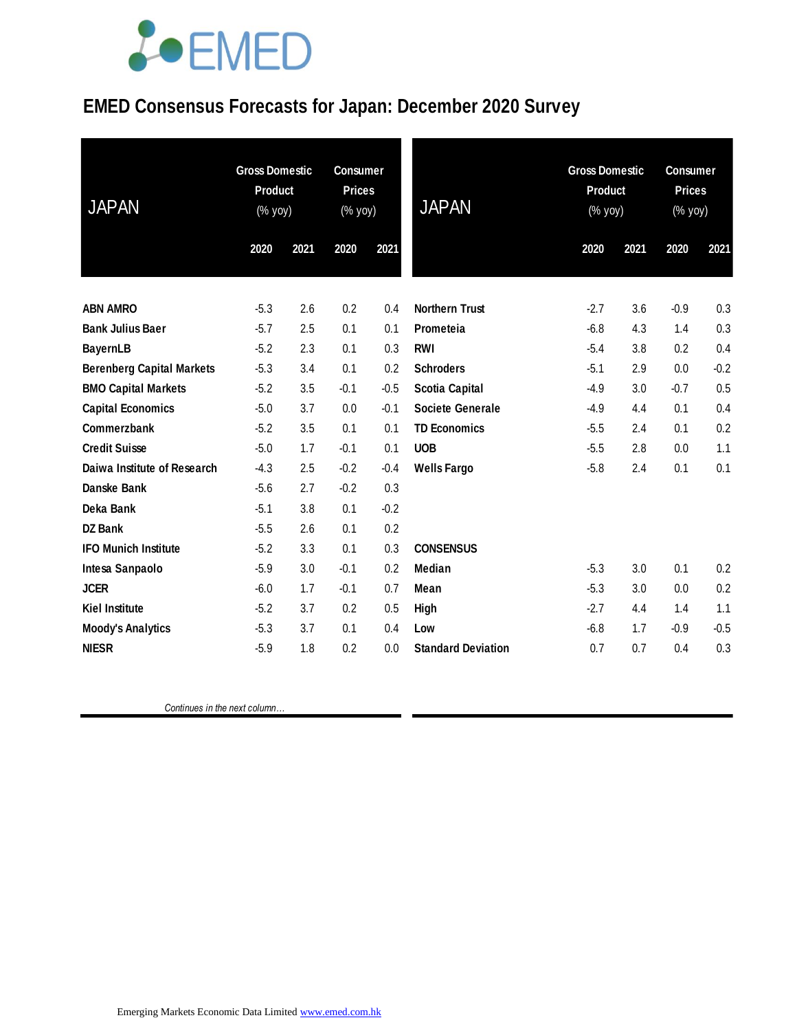# LOEMED

### **EMED Consensus Forecasts for Japan: December 2020 Survey**

| <b>JAPAN</b>                     | <b>Gross Domestic</b><br>Product<br>(% yoy) |      | <b>Consumer</b><br><b>Prices</b><br>(% yoy) |        | <b>JAPAN</b>              |        | <b>Gross Domestic</b><br><b>Product</b><br>$(%$ yoy) |        | <b>Consumer</b><br><b>Prices</b><br>(% yoy) |  |
|----------------------------------|---------------------------------------------|------|---------------------------------------------|--------|---------------------------|--------|------------------------------------------------------|--------|---------------------------------------------|--|
|                                  | 2020                                        | 2021 | 2020                                        | 2021   |                           | 2020   | 2021                                                 | 2020   | 2021                                        |  |
| <b>ABN AMRO</b>                  | $-5.3$                                      | 2.6  | 0.2                                         | 0.4    | <b>Northern Trust</b>     | $-2.7$ | 3.6                                                  | $-0.9$ | 0.3                                         |  |
| <b>Bank Julius Baer</b>          | $-5.7$                                      | 2.5  | 0.1                                         | 0.1    | Prometeia                 | $-6.8$ | 4.3                                                  | 1.4    | 0.3                                         |  |
| <b>BayernLB</b>                  | $-5.2$                                      | 2.3  | 0.1                                         | 0.3    | <b>RWI</b>                | $-5.4$ | 3.8                                                  | 0.2    | 0.4                                         |  |
| <b>Berenberg Capital Markets</b> | $-5.3$                                      | 3.4  | 0.1                                         | 0.2    | <b>Schroders</b>          | $-5.1$ | 2.9                                                  | 0.0    | $-0.2$                                      |  |
| <b>BMO Capital Markets</b>       | $-5.2$                                      | 3.5  | $-0.1$                                      | $-0.5$ | <b>Scotia Capital</b>     | $-4.9$ | 3.0                                                  | $-0.7$ | 0.5                                         |  |
| <b>Capital Economics</b>         | $-5.0$                                      | 3.7  | 0.0                                         | $-0.1$ | <b>Societe Generale</b>   | $-4.9$ | 4.4                                                  | 0.1    | 0.4                                         |  |
| Commerzbank                      | $-5.2$                                      | 3.5  | 0.1                                         | 0.1    | <b>TD Economics</b>       | $-5.5$ | 2.4                                                  | 0.1    | 0.2                                         |  |
| <b>Credit Suisse</b>             | $-5.0$                                      | 1.7  | $-0.1$                                      | 0.1    | <b>UOB</b>                | $-5.5$ | 2.8                                                  | 0.0    | 1.1                                         |  |
| Daiwa Institute of Research      | $-4.3$                                      | 2.5  | $-0.2$                                      | $-0.4$ | <b>Wells Fargo</b>        | $-5.8$ | 2.4                                                  | 0.1    | 0.1                                         |  |
| Danske Bank                      | $-5.6$                                      | 2.7  | $-0.2$                                      | 0.3    |                           |        |                                                      |        |                                             |  |
| Deka Bank                        | $-5.1$                                      | 3.8  | 0.1                                         | $-0.2$ |                           |        |                                                      |        |                                             |  |
| <b>DZ Bank</b>                   | $-5.5$                                      | 2.6  | 0.1                                         | 0.2    |                           |        |                                                      |        |                                             |  |
| <b>IFO Munich Institute</b>      | $-5.2$                                      | 3.3  | 0.1                                         | 0.3    | <b>CONSENSUS</b>          |        |                                                      |        |                                             |  |
| Intesa Sanpaolo                  | $-5.9$                                      | 3.0  | $-0.1$                                      | 0.2    | <b>Median</b>             | $-5.3$ | 3.0                                                  | 0.1    | 0.2                                         |  |
| <b>JCER</b>                      | $-6.0$                                      | 1.7  | $-0.1$                                      | 0.7    | Mean                      | $-5.3$ | 3.0                                                  | 0.0    | 0.2                                         |  |
| <b>Kiel Institute</b>            | $-5.2$                                      | 3.7  | 0.2                                         | 0.5    | High                      | $-2.7$ | 4.4                                                  | 1.4    | 1.1                                         |  |
| <b>Moody's Analytics</b>         | $-5.3$                                      | 3.7  | 0.1                                         | 0.4    | Low                       | $-6.8$ | 1.7                                                  | $-0.9$ | $-0.5$                                      |  |
| <b>NIESR</b>                     | $-5.9$                                      | 1.8  | 0.2                                         | 0.0    | <b>Standard Deviation</b> | 0.7    | 0.7                                                  | 0.4    | 0.3                                         |  |

 *Continues in the next column…*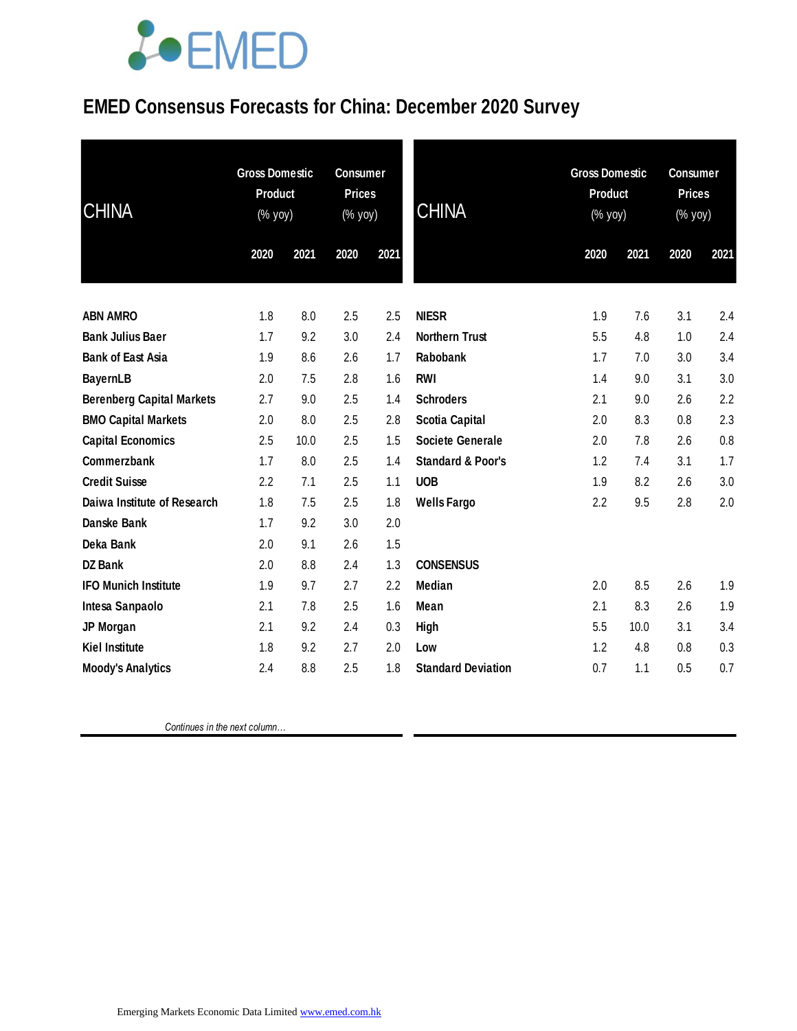# **JOEMED**

### **EMED Consensus Forecasts for China: December 2020 Survey**

| <b>CHINA</b>                     | <b>Gross Domestic</b><br><b>Product</b><br>(% yoy) |      | <b>Consumer</b><br><b>Prices</b><br>(% yoy) |      | <b>CHINA</b>                 |      | <b>Gross Domestic</b><br><b>Product</b><br>$(% \mathsf{Y}^{\prime }\mathsf{Y}^{\prime }\mathsf{Y}^{\prime })$ |      | <b>Consumer</b><br><b>Prices</b><br>(% yoy) |  |
|----------------------------------|----------------------------------------------------|------|---------------------------------------------|------|------------------------------|------|---------------------------------------------------------------------------------------------------------------|------|---------------------------------------------|--|
|                                  | 2020                                               | 2021 | 2020                                        | 2021 |                              | 2020 | 2021                                                                                                          | 2020 | 2021                                        |  |
| <b>ABN AMRO</b>                  | 1.8                                                | 8.0  | 2.5                                         | 2.5  | <b>NIESR</b>                 | 1.9  | 7.6                                                                                                           | 3.1  | 2.4                                         |  |
| <b>Bank Julius Baer</b>          | 1.7                                                | 9.2  | 3.0                                         | 2.4  | <b>Northern Trust</b>        | 5.5  | 4.8                                                                                                           | 1.0  | 2.4                                         |  |
| <b>Bank of East Asia</b>         | 1.9                                                | 8.6  | 2.6                                         | 1.7  | Rabobank                     | 1.7  | 7.0                                                                                                           | 3.0  | 3.4                                         |  |
| <b>BayernLB</b>                  | 2.0                                                | 7.5  | 2.8                                         | 1.6  | <b>RWI</b>                   | 1.4  | 9.0                                                                                                           | 3.1  | 3.0                                         |  |
| <b>Berenberg Capital Markets</b> | 2.7                                                | 9.0  | 2.5                                         | 1.4  | <b>Schroders</b>             | 2.1  | 9.0                                                                                                           | 2.6  | 2.2                                         |  |
| <b>BMO Capital Markets</b>       | 2.0                                                | 8.0  | 2.5                                         | 2.8  | <b>Scotia Capital</b>        | 2.0  | 8.3                                                                                                           | 0.8  | 2.3                                         |  |
| <b>Capital Economics</b>         | 2.5                                                | 10.0 | 2.5                                         | 1.5  | <b>Societe Generale</b>      | 2.0  | 7.8                                                                                                           | 2.6  | 0.8                                         |  |
| Commerzbank                      | 1.7                                                | 8.0  | 2.5                                         | 1.4  | <b>Standard &amp; Poor's</b> | 1.2  | 7.4                                                                                                           | 3.1  | 1.7                                         |  |
| <b>Credit Suisse</b>             | 2.2                                                | 7.1  | 2.5                                         | 1.1  | <b>UOB</b>                   | 1.9  | 8.2                                                                                                           | 2.6  | 3.0                                         |  |
| Daiwa Institute of Research      | 1.8                                                | 7.5  | 2.5                                         | 1.8  | <b>Wells Fargo</b>           | 2.2  | 9.5                                                                                                           | 2.8  | 2.0                                         |  |
| Danske Bank                      | 1.7                                                | 9.2  | 3.0                                         | 2.0  |                              |      |                                                                                                               |      |                                             |  |
| Deka Bank                        | 2.0                                                | 9.1  | 2.6                                         | 1.5  |                              |      |                                                                                                               |      |                                             |  |
| <b>DZ Bank</b>                   | 2.0                                                | 8.8  | 2.4                                         | 1.3  | <b>CONSENSUS</b>             |      |                                                                                                               |      |                                             |  |
| <b>IFO Munich Institute</b>      | 1.9                                                | 9.7  | 2.7                                         | 2.2  | <b>Median</b>                | 2.0  | 8.5                                                                                                           | 2.6  | 1.9                                         |  |
| Intesa Sanpaolo                  | 2.1                                                | 7.8  | 2.5                                         | 1.6  | Mean                         | 2.1  | 8.3                                                                                                           | 2.6  | 1.9                                         |  |
| JP Morgan                        | 2.1                                                | 9.2  | 2.4                                         | 0.3  | High                         | 5.5  | 10.0                                                                                                          | 3.1  | 3.4                                         |  |
| <b>Kiel Institute</b>            | 1.8                                                | 9.2  | 2.7                                         | 2.0  | Low                          | 1.2  | 4.8                                                                                                           | 0.8  | 0.3                                         |  |
| <b>Moody's Analytics</b>         | 2.4                                                | 8.8  | 2.5                                         | 1.8  | <b>Standard Deviation</b>    | 0.7  | 1.1                                                                                                           | 0.5  | 0.7                                         |  |

 *Continues in the next column…*